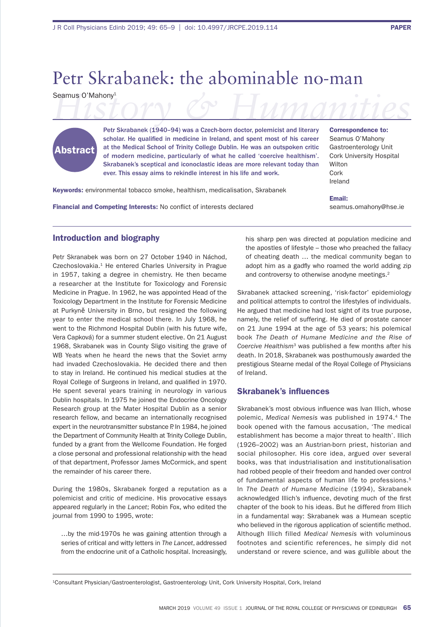# Petr Skrabanek: the abominable no-man

*History & Humanities* Seamus O'Mahony<sup>1</sup>

# Abstract

Petr Skrabanek (1940–94) was a Czech-born doctor, polemicist and literary scholar. He qualified in medicine in Ireland, and spent most of his career at the Medical School of Trinity College Dublin. He was an outspoken critic of modern medicine, particularly of what he called 'coercive healthism'. Skrabanek's sceptical and iconoclastic ideas are more relevant today than ever. This essay aims to rekindle interest in his life and work.

Keywords: environmental tobacco smoke, healthism, medicalisation, Skrabanek

Financial and Competing Interests: No conflict of interests declared

Correspondence to: Seamus O'Mahony Gastroenterology Unit Cork University Hospital Wilton Cork Ireland

Email: seamus.omahony@hse.ie

### Introduction and biography

Petr Skranabek was born on 27 October 1940 in Náchod, Czechoslovakia.<sup>1</sup> He entered Charles University in Prague in 1957, taking a degree in chemistry. He then became a researcher at the Institute for Toxicology and Forensic Medicine in Prague. In 1962, he was appointed Head of the Toxicology Department in the Institute for Forensic Medicine at Purkynĕ University in Brno, but resigned the following year to enter the medical school there. In July 1968, he went to the Richmond Hospital Dublin (with his future wife, Vera Capková) for a summer student elective. On 21 August 1968, Skrabanek was in County Sligo visiting the grave of WB Yeats when he heard the news that the Soviet army had invaded Czechoslovakia. He decided there and then to stay in Ireland. He continued his medical studies at the Royal College of Surgeons in Ireland, and qualified in 1970. He spent several years training in neurology in various Dublin hospitals. In 1975 he joined the Endocrine Oncology Research group at the Mater Hospital Dublin as a senior research fellow, and became an internationally recognised expert in the neurotransmitter substance P. In 1984, he joined the Department of Community Health at Trinity College Dublin, funded by a grant from the Wellcome Foundation. He forged a close personal and professional relationship with the head of that department, Professor James McCormick, and spent the remainder of his career there.

During the 1980s, Skrabanek forged a reputation as a polemicist and critic of medicine. His provocative essays appeared regularly in the *Lancet*; Robin Fox, who edited the journal from 1990 to 1995, wrote:

…by the mid-1970s he was gaining attention through a series of critical and witty letters in *The Lancet*, addressed from the endocrine unit of a Catholic hospital. Increasingly, his sharp pen was directed at population medicine and the apostles of lifestyle – those who preached the fallacy of cheating death … the medical community began to adopt him as a gadfly who roamed the world adding zip and controversy to otherwise anodyne meetings.<sup>2</sup>

Skrabanek attacked screening, 'risk-factor' epidemiology and political attempts to control the lifestyles of individuals. He argued that medicine had lost sight of its true purpose, namely, the relief of suffering. He died of prostate cancer on 21 June 1994 at the age of 53 years; his polemical book *The Death of Humane Medicine and the Rise of Coercive Healthism*3 was published a few months after his death. In 2018, Skrabanek was posthumously awarded the prestigious Stearne medal of the Royal College of Physicians of Ireland.

#### **Skrabanek's influences**

Skrabanek's most obvious influence was Ivan Illich, whose polemic, *Medical Nemesis* was published in 1974.4 The book opened with the famous accusation, 'The medical establishment has become a major threat to health'. Illich (1926–2002) was an Austrian-born priest, historian and social philosopher. His core idea, argued over several books, was that industrialisation and institutionalisation had robbed people of their freedom and handed over control of fundamental aspects of human life to professions.<sup>5</sup> In *The Death of Humane Medicine* (1994), Skrabanek acknowledged Illich's influence, devoting much of the first chapter of the book to his ideas. But he differed from Illich in a fundamental way: Skrabanek was a Humean sceptic who believed in the rigorous application of scientific method. Although Illich filled *Medical Nemesis* with voluminous footnotes and scientific references, he simply did not understand or revere science, and was gullible about the

<sup>1</sup>Consultant Physician/Gastroenterologist, Gastroenterology Unit, Cork University Hospital, Cork, Ireland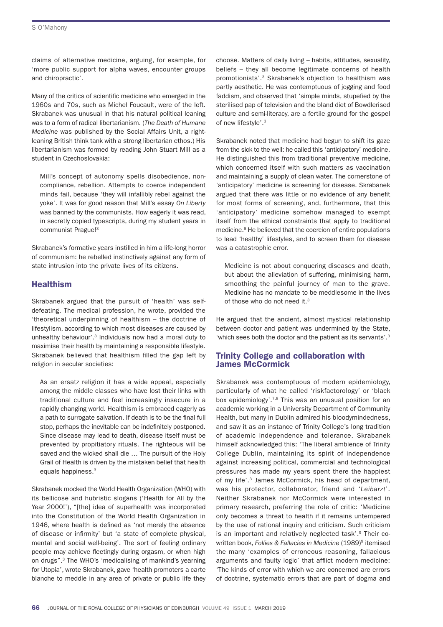claims of alternative medicine, arguing, for example, for 'more public support for alpha waves, encounter groups and chiropractic'.

Many of the critics of scientific medicine who emerged in the 1960s and 70s, such as Michel Foucault, were of the left. Skrabanek was unusual in that his natural political leaning was to a form of radical libertarianism. (*The Death of Humane Medicine* was published by the Social Affairs Unit, a rightleaning British think tank with a strong libertarian ethos.) His libertarianism was formed by reading John Stuart Mill as a student in Czechoslovakia:

Mill's concept of autonomy spells disobedience, noncompliance, rebellion. Attempts to coerce independent minds fail, because 'they will infallibly rebel against the yoke'. It was for good reason that Mill's essay *On Liberty*  was banned by the communists. How eagerly it was read, in secretly copied typescripts, during my student years in communist Prague!3

Skrabanek's formative years instilled in him a life-long horror of communism: he rebelled instinctively against any form of state intrusion into the private lives of its citizens.

#### **Healthism**

Skrabanek argued that the pursuit of 'health' was selfdefeating. The medical profession, he wrote, provided the 'theoretical underpinning of healthism – the doctrine of lifestylism, according to which most diseases are caused by unhealthy behaviour'.<sup>3</sup> Individuals now had a moral duty to maximise their health by maintaining a responsible lifestyle. Skrabanek believed that healthism filled the gap left by religion in secular societies:

As an ersatz religion it has a wide appeal, especially among the middle classes who have lost their links with traditional culture and feel increasingly insecure in a rapidly changing world. Healthism is embraced eagerly as a path to surrogate salvation. If death is to be the final full stop, perhaps the inevitable can be indefinitely postponed. Since disease may lead to death, disease itself must be prevented by propitiatory rituals. The righteous will be saved and the wicked shall die … The pursuit of the Holy Grail of Health is driven by the mistaken belief that health equals happiness.3

Skrabanek mocked the World Health Organization (WHO) with its bellicose and hubristic slogans ('Health for All by the Year 2000!'), "[the] idea of superhealth was incorporated into the Constitution of the World Health Organization in 1946, where health is defined as 'not merely the absence of disease or infirmity' but 'a state of complete physical, mental and social well-being'. The sort of feeling ordinary people may achieve fleetingly during orgasm, or when high on drugs".3 The WHO's 'medicalising of mankind's yearning for Utopia', wrote Skrabanek, gave 'health promoters a carte blanche to meddle in any area of private or public life they

choose. Matters of daily living – habits, attitudes, sexuality, beliefs – they all become legitimate concerns of health promotionists'.3 Skrabanek's objection to healthism was partly aesthetic. He was contemptuous of jogging and food faddism, and observed that 'simple minds, stupefied by the sterilised pap of television and the bland diet of Bowdlerised culture and semi-literacy, are a fertile ground for the gospel of new lifestyle'.3

Skrabanek noted that medicine had begun to shift its gaze from the sick to the well: he called this 'anticipatory' medicine. He distinguished this from traditional preventive medicine, which concerned itself with such matters as vaccination and maintaining a supply of clean water. The cornerstone of 'anticipatory' medicine is screening for disease. Skrabanek argued that there was little or no evidence of any benefit for most forms of screening, and, furthermore, that this 'anticipatory' medicine somehow managed to exempt itself from the ethical constraints that apply to traditional medicine.<sup>6</sup> He believed that the coercion of entire populations to lead 'healthy' lifestyles, and to screen them for disease was a catastrophic error.

Medicine is not about conquering diseases and death, but about the alleviation of suffering, minimising harm, smoothing the painful journey of man to the grave. Medicine has no mandate to be meddlesome in the lives of those who do not need it.3

He argued that the ancient, almost mystical relationship between doctor and patient was undermined by the State, 'which sees both the doctor and the patient as its servants'.3

#### Trinity College and collaboration with James McCormick

Skrabanek was contemptuous of modern epidemiology, particularly of what he called 'riskfactorology' or 'black box epidemiology'.7,8 This was an unusual position for an academic working in a University Department of Community Health, but many in Dublin admired his bloodymindedness, and saw it as an instance of Trinity College's long tradition of academic independence and tolerance. Skrabanek himself acknowledged this: 'The liberal ambience of Trinity College Dublin, maintaining its spirit of independence against increasing political, commercial and technological pressures has made my years spent there the happiest of my life'.<sup>3</sup> James McCormick, his head of department, was his protector, collaborator, friend and '*Leibarzt*'. Neither Skrabanek nor McCormick were interested in primary research, preferring the role of critic: 'Medicine only becomes a threat to health if it remains untempered by the use of rational inquiry and criticism. Such criticism is an important and relatively neglected task'.<sup>9</sup> Their cowritten book, *Follies & Fallacies in Medicine* (1989)<sup>9</sup> itemised the many 'examples of erroneous reasoning, fallacious arguments and faulty logic' that afflict modern medicine: 'The kinds of error with which we are concerned are errors of doctrine, systematic errors that are part of dogma and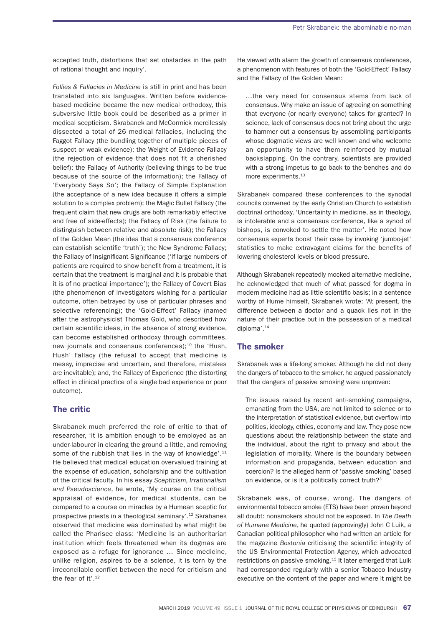accepted truth, distortions that set obstacles in the path of rational thought and inquiry'.

*Follies & Fallacies in Medicine* is still in print and has been translated into six languages. Written before evidencebased medicine became the new medical orthodoxy, this subversive little book could be described as a primer in medical scepticism. Skrabanek and McCormick mercilessly dissected a total of 26 medical fallacies, including the Faggot Fallacy (the bundling together of multiple pieces of suspect or weak evidence); the Weight of Evidence Fallacy (the rejection of evidence that does not fit a cherished belief); the Fallacy of Authority (believing things to be true because of the source of the information); the Fallacy of 'Everybody Says So'; the Fallacy of Simple Explanation (the acceptance of a new idea because it offers a simple solution to a complex problem); the Magic Bullet Fallacy (the frequent claim that new drugs are both remarkably effective and free of side-effects); the Fallacy of Risk (the failure to distinguish between relative and absolute risk); the Fallacy of the Golden Mean (the idea that a consensus conference can establish scientific 'truth'); the New Syndrome Fallacy; the Fallacy of Insignificant Significance ('if large numbers of patients are required to show benefit from a treatment, it is certain that the treatment is marginal and it is probable that it is of no practical importance'); the Fallacy of Covert Bias (the phenomenon of investigators wishing for a particular outcome, often betrayed by use of particular phrases and selective referencing); the 'Gold-Effect' Fallacy (named after the astrophysicist Thomas Gold, who described how certain scientific ideas, in the absence of strong evidence, can become established orthodoxy through committees, new journals and consensus conferences);10 the 'Hush, Hush' Fallacy (the refusal to accept that medicine is messy, imprecise and uncertain, and therefore, mistakes are inevitable); and, the Fallacy of Experience (the distorting effect in clinical practice of a single bad experience or poor outcome).

#### The critic

Skrabanek much preferred the role of critic to that of researcher, 'it is ambition enough to be employed as an under-labourer in clearing the ground a little, and removing some of the rubbish that lies in the way of knowledge'.<sup>11</sup> He believed that medical education overvalued training at the expense of education, scholarship and the cultivation of the critical faculty. In his essay *Scepticism, Irrationalism and Pseudoscience*, he wrote, 'My course on the critical appraisal of evidence, for medical students, can be compared to a course on miracles by a Humean sceptic for prospective priests in a theological seminary'.12 Skrabanek observed that medicine was dominated by what might be called the Pharisee class: 'Medicine is an authoritarian institution which feels threatened when its dogmas are exposed as a refuge for ignorance … Since medicine, unlike religion, aspires to be a science, it is torn by the irreconcilable conflict between the need for criticism and the fear of it'.<sup>12</sup>

He viewed with alarm the growth of consensus conferences, a phenomenon with features of both the 'Gold-Effect' Fallacy and the Fallacy of the Golden Mean:

…the very need for consensus stems from lack of consensus. Why make an issue of agreeing on something that everyone (or nearly everyone) takes for granted? In science, lack of consensus does not bring about the urge to hammer out a consensus by assembling participants whose dogmatic views are well known and who welcome an opportunity to have them reinforced by mutual backslapping. On the contrary, scientists are provided with a strong impetus to go back to the benches and do more experiments.13

Skrabanek compared these conferences to the synodal councils convened by the early Christian Church to establish doctrinal orthodoxy, 'Uncertainty in medicine, as in theology, is intolerable and a consensus conference, like a synod of bishops, is convoked to settle the matter'. He noted how consensus experts boost their case by invoking 'jumbo-jet' statistics to make extravagant claims for the benefits of lowering cholesterol levels or blood pressure.

Although Skrabanek repeatedly mocked alternative medicine, he acknowledged that much of what passed for dogma in modern medicine had as little scientific basis; in a sentence worthy of Hume himself, Skrabanek wrote: 'At present, the difference between a doctor and a quack lies not in the nature of their practice but in the possession of a medical diploma'.14

#### The smoker

Skrabanek was a life-long smoker. Although he did not deny the dangers of tobacco to the smoker, he argued passionately that the dangers of passive smoking were unproven:

The issues raised by recent anti-smoking campaigns, emanating from the USA, are not limited to science or to the interpretation of statistical evidence, but overflow into politics, ideology, ethics, economy and law. They pose new questions about the relationship between the state and the individual, about the right to privacy and about the legislation of morality. Where is the boundary between information and propaganda, between education and coercion? Is the alleged harm of 'passive smoking' based on evidence, or is it a politically correct truth?<sup>3</sup>

Skrabanek was, of course, wrong. The dangers of environmental tobacco smoke (ETS) have been proven beyond all doubt: nonsmokers should not be exposed. In *The Death of Humane Medicine*, he quoted (approvingly) John C Luik, a Canadian political philosopher who had written an article for the magazine *Bostonia* criticising the scientific integrity of the US Environmental Protection Agency, which advocated restrictions on passive smoking.<sup>15</sup> It later emerged that Luik had corresponded regularly with a senior Tobacco Industry executive on the content of the paper and where it might be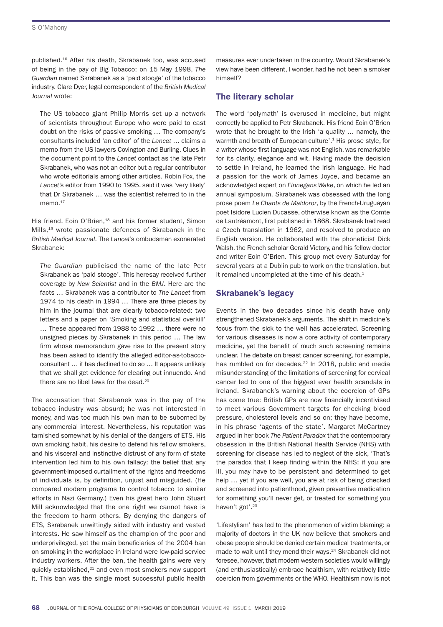published.16 After his death, Skrabanek too, was accused of being in the pay of Big Tobacco: on 15 May 1998, *The Guardian* named Skrabanek as a 'paid stooge' of the tobacco industry. Clare Dyer, legal correspondent of the *British Medical Journal* wrote:

The US tobacco giant Philip Morris set up a network of scientists throughout Europe who were paid to cast doubt on the risks of passive smoking … The company's consultants included 'an editor' of the *Lancet* … claims a memo from the US lawyers Covington and Burling. Clues in the document point to the *Lancet* contact as the late Petr Skrabanek, who was not an editor but a regular contributor who wrote editorials among other articles. Robin Fox, the *Lancet*'s editor from 1990 to 1995, said it was 'very likely' that Dr Skrabanek … was the scientist referred to in the memo.<sup>17</sup>

His friend, Eoin O'Brien,<sup>18</sup> and his former student, Simon Mills,19 wrote passionate defences of Skrabanek in the *British Medical Journal*. The *Lancet*'s ombudsman exonerated Skrabanek:

*The Guardian* publicised the name of the late Petr Skrabanek as 'paid stooge'. This heresay received further coverage by *New Scientist* and in the *BMJ*. Here are the facts … Skrabanek was a contributor to *The Lancet* from 1974 to his death in 1994 … There are three pieces by him in the journal that are clearly tobacco-related: two letters and a paper on 'Smoking and statistical overkill' … These appeared from 1988 to 1992 … there were no unsigned pieces by Skrabanek in this period … The law firm whose memorandum gave rise to the present story has been asked to identify the alleged editor-as-tobaccoconsultant … it has declined to do so … It appears unlikely that we shall get evidence for clearing out innuendo. And there are no libel laws for the dead.<sup>20</sup>

The accusation that Skrabanek was in the pay of the tobacco industry was absurd; he was not interested in money, and was too much his own man to be suborned by any commercial interest. Nevertheless, his reputation was tarnished somewhat by his denial of the dangers of ETS. His own smoking habit, his desire to defend his fellow smokers, and his visceral and instinctive distrust of any form of state intervention led him to his own fallacy: the belief that any government-imposed curtailment of the rights and freedoms of individuals is, by definition, unjust and misguided. (He compared modern programs to control tobacco to similar efforts in Nazi Germany.) Even his great hero John Stuart Mill acknowledged that the one right we cannot have is the freedom to harm others. By denying the dangers of ETS, Skrabanek unwittingly sided with industry and vested interests. He saw himself as the champion of the poor and underprivileged, yet the main beneficiaries of the 2004 ban on smoking in the workplace in Ireland were low-paid service industry workers. After the ban, the health gains were very quickly established,<sup>21</sup> and even most smokers now support it. This ban was the single most successful public health

measures ever undertaken in the country. Would Skrabanek's view have been different, I wonder, had he not been a smoker himself?

## The literary scholar

The word 'polymath' is overused in medicine, but might correctly be applied to Petr Skrabanek. His friend Eoin O'Brien wrote that he brought to the Irish 'a quality … namely, the warmth and breath of European culture'.<sup>1</sup> His prose style, for a writer whose first language was not English, was remarkable for its clarity, elegance and wit. Having made the decision to settle in Ireland, he learned the Irish language. He had a passion for the work of James Joyce, and became an acknowledged expert on *Finnegans Wake*, on which he led an annual symposium. Skrabanek was obsessed with the long prose poem *Le Chants de Maldoror*, by the French-Uruguayan poet Isidore Lucien Ducasse, otherwise known as the Comte de Lautréamont, first published in 1868. Skrabanek had read a Czech translation in 1962, and resolved to produce an English version. He collaborated with the phoneticist Dick Walsh, the French scholar Gerald Victory, and his fellow doctor and writer Eoin O'Brien. This group met every Saturday for several years at a Dublin pub to work on the translation, but it remained uncompleted at the time of his death.<sup>1</sup>

### Skrabanek's legacy

Events in the two decades since his death have only strengthened Skrabanek's arguments. The shift in medicine's focus from the sick to the well has accelerated. Screening for various diseases is now a core activity of contemporary medicine, yet the benefit of much such screening remains unclear. The debate on breast cancer screening, for example, has rumbled on for decades.<sup>22</sup> In 2018, public and media misunderstanding of the limitations of screening for cervical cancer led to one of the biggest ever health scandals in Ireland. Skrabanek's warning about the coercion of GPs has come true: British GPs are now financially incentivised to meet various Government targets for checking blood pressure, cholesterol levels and so on; they have become, in his phrase 'agents of the state'. Margaret McCartney argued in her book *The Patient Paradox* that the contemporary obsession in the British National Health Service (NHS) with screening for disease has led to neglect of the sick, 'That's the paradox that I keep finding within the NHS: if you are ill, you may have to be persistent and determined to get help … yet if you are well, you are at risk of being checked and screened into patienthood, given preventive medication for something you'll never get, or treated for something you haven't got'.<sup>23</sup>

'Lifestylism' has led to the phenomenon of victim blaming: a majority of doctors in the UK now believe that smokers and obese people should be denied certain medical treatments, or made to wait until they mend their ways.<sup>24</sup> Skrabanek did not foresee, however, that modern western societies would willingly (and enthusiastically) embrace healthism, with relatively little coercion from governments or the WHO. Healthism now is not